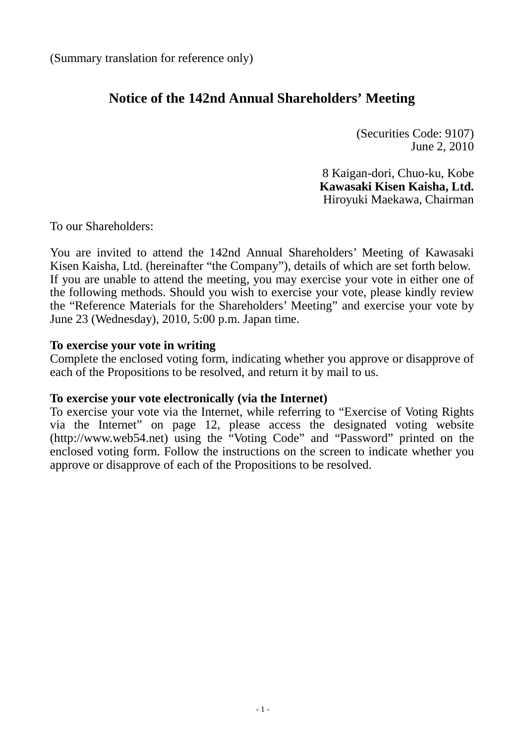## **Notice of the 142nd Annual Shareholders' Meeting**

(Securities Code: 9107) June 2, 2010

8 Kaigan-dori, Chuo-ku, Kobe **Kawasaki Kisen Kaisha, Ltd.** Hiroyuki Maekawa, Chairman

To our Shareholders:

You are invited to attend the 142nd Annual Shareholders' Meeting of Kawasaki Kisen Kaisha, Ltd. (hereinafter "the Company"), details of which are set forth below. If you are unable to attend the meeting, you may exercise your vote in either one of the following methods. Should you wish to exercise your vote, please kindly review the "Reference Materials for the Shareholders' Meeting" and exercise your vote by June 23 (Wednesday), 2010, 5:00 p.m. Japan time.

## **To exercise your vote in writing**

Complete the enclosed voting form, indicating whether you approve or disapprove of each of the Propositions to be resolved, and return it by mail to us.

#### **To exercise your vote electronically (via the Internet)**

To exercise your vote via the Internet, while referring to "Exercise of Voting Rights via the Internet" on page [12,](#page-11-0) please access the designated voting website (http://www.web54.net) using the "Voting Code" and "Password" printed on the enclosed voting form. Follow the instructions on the screen to indicate whether you approve or disapprove of each of the Propositions to be resolved.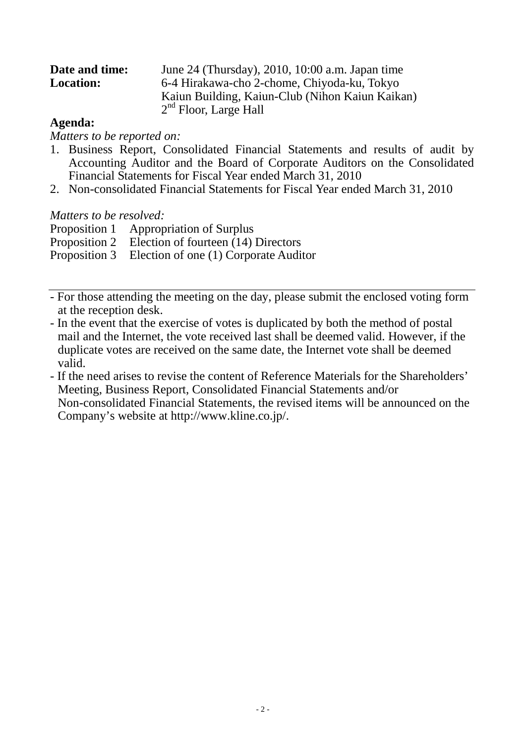| Date and time:   | June 24 (Thursday), 2010, 10:00 a.m. Japan time |
|------------------|-------------------------------------------------|
| <b>Location:</b> | 6-4 Hirakawa-cho 2-chome, Chiyoda-ku, Tokyo     |
|                  | Kaiun Building, Kaiun-Club (Nihon Kaiun Kaikan) |
|                  | $2nd$ Floor, Large Hall                         |

#### **Agenda:**

*Matters to be reported on:*

- 1. Business Report, Consolidated Financial Statements and results of audit by Accounting Auditor and the Board of Corporate Auditors on the Consolidated Financial Statements for Fiscal Year ended March 31, 2010
- 2. Non-consolidated Financial Statements for Fiscal Year ended March 31, 2010

#### *Matters to be resolved:*

Proposition 1 Appropriation of Surplus

Proposition 2 Election of fourteen (14) Directors

Proposition 3 Election of one (1) Corporate Auditor

- For those attending the meeting on the day, please submit the enclosed voting form at the reception desk.
- In the event that the exercise of votes is duplicated by both the method of postal mail and the Internet, the vote received last shall be deemed valid. However, if the duplicate votes are received on the same date, the Internet vote shall be deemed valid.
- If the need arises to revise the content of Reference Materials for the Shareholders' Meeting, Business Report, Consolidated Financial Statements and/or Non-consolidated Financial Statements, the revised items will be announced on the Company's website at http://www.kline.co.jp/.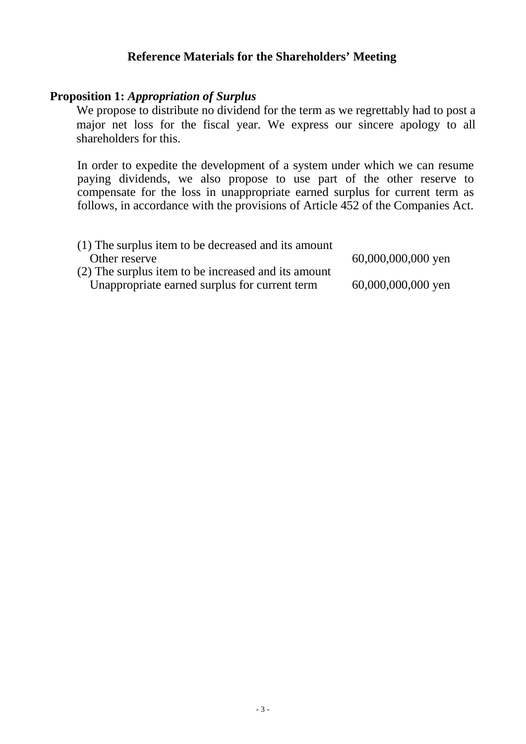## **Reference Materials for the Shareholders' Meeting**

## **Proposition 1:** *Appropriation of Surplus*

We propose to distribute no dividend for the term as we regrettably had to post a major net loss for the fiscal year. We express our sincere apology to all shareholders for this.

In order to expedite the development of a system under which we can resume paying dividends, we also propose to use part of the other reserve to compensate for the loss in unappropriate earned surplus for current term as follows, in accordance with the provisions of Article 452 of the Companies Act.

| (1) The surplus item to be decreased and its amount |                    |
|-----------------------------------------------------|--------------------|
| Other reserve                                       | 60,000,000,000 yen |
| (2) The surplus item to be increased and its amount |                    |
| Unappropriate earned surplus for current term       | 60,000,000,000 yen |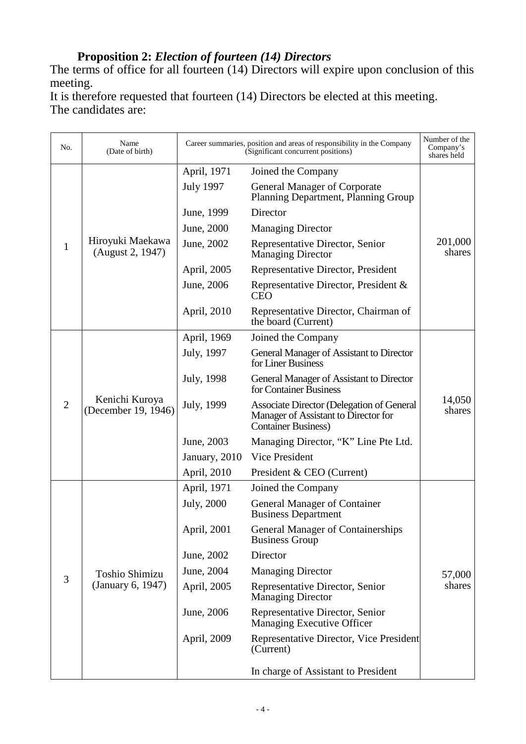# **Proposition 2:** *Election of fourteen (14) Directors*

The terms of office for all fourteen (14) Directors will expire upon conclusion of this meeting.

It is therefore requested that fourteen (14) Directors be elected at this meeting. The candidates are:

| No.            | Name<br>(Date of birth)               |                  | Career summaries, position and areas of responsibility in the Company<br>(Significant concurrent positions)     | Number of the<br>Company's<br>shares held |
|----------------|---------------------------------------|------------------|-----------------------------------------------------------------------------------------------------------------|-------------------------------------------|
|                |                                       | April, 1971      | Joined the Company                                                                                              |                                           |
|                |                                       | <b>July 1997</b> | <b>General Manager of Corporate</b><br>Planning Department, Planning Group                                      | 201,000<br>shares                         |
|                |                                       | June, 1999       | Director                                                                                                        |                                           |
|                |                                       | June, 2000       | <b>Managing Director</b>                                                                                        |                                           |
| 1              | Hiroyuki Maekawa<br>(August 2, 1947)  | June, 2002       | Representative Director, Senior<br><b>Managing Director</b>                                                     |                                           |
|                |                                       | April, 2005      | Representative Director, President                                                                              |                                           |
|                |                                       | June, 2006       | Representative Director, President &<br><b>CEO</b>                                                              |                                           |
|                |                                       | April, 2010      | Representative Director, Chairman of<br>the board (Current)                                                     |                                           |
|                |                                       | April, 1969      | Joined the Company                                                                                              |                                           |
|                | Kenichi Kuroya<br>(December 19, 1946) | July, 1997       | General Manager of Assistant to Director<br>for Liner Business                                                  |                                           |
|                |                                       | July, 1998       | General Manager of Assistant to Director<br>for Container Business                                              |                                           |
| $\overline{2}$ |                                       | July, 1999       | Associate Director (Delegation of General<br>Manager of Assistant to Director for<br><b>Container Business)</b> | 14,050<br>shares                          |
|                |                                       | June, 2003       | Managing Director, "K" Line Pte Ltd.                                                                            |                                           |
|                |                                       | January, 2010    | Vice President                                                                                                  |                                           |
|                |                                       | April, 2010      | President & CEO (Current)                                                                                       |                                           |
|                |                                       | April, 1971      | Joined the Company                                                                                              |                                           |
|                |                                       | July, 2000       | <b>General Manager of Container</b><br><b>Business Department</b>                                               |                                           |
|                |                                       | April, 2001      | <b>General Manager of Containerships</b><br><b>Business Group</b>                                               |                                           |
|                |                                       | June, 2002       | Director                                                                                                        |                                           |
|                | <b>Toshio Shimizu</b>                 | June, 2004       | <b>Managing Director</b>                                                                                        | 57,000                                    |
| 3              | (January 6, 1947)                     | April, 2005      | Representative Director, Senior<br><b>Managing Director</b>                                                     | shares                                    |
|                |                                       | June, 2006       | Representative Director, Senior<br>Managing Executive Officer                                                   |                                           |
|                |                                       | April, 2009      | Representative Director, Vice President<br>(Current)                                                            |                                           |
|                |                                       |                  | In charge of Assistant to President                                                                             |                                           |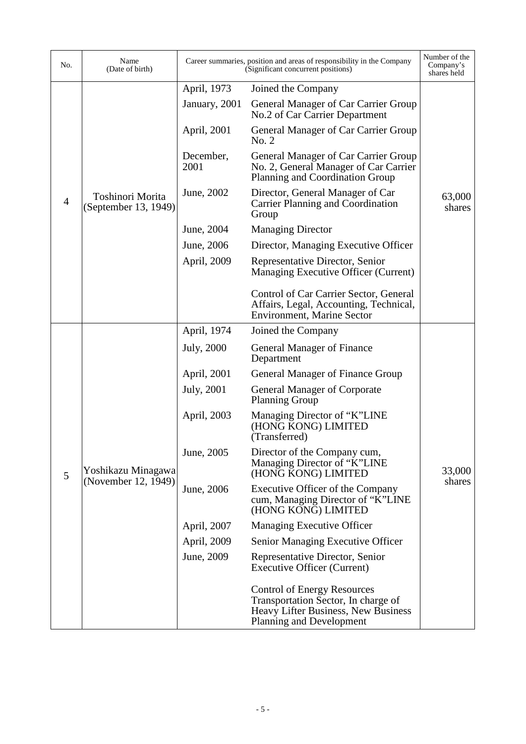| No.            | Name<br>(Date of birth)                   |                   | Career summaries, position and areas of responsibility in the Company<br>(Significant concurrent positions)                                  | Number of the<br>Company's<br>shares held |
|----------------|-------------------------------------------|-------------------|----------------------------------------------------------------------------------------------------------------------------------------------|-------------------------------------------|
|                |                                           | April, 1973       | Joined the Company                                                                                                                           |                                           |
|                | Toshinori Morita<br>(September 13, 1949)  | January, 2001     | General Manager of Car Carrier Group<br>No.2 of Car Carrier Department                                                                       |                                           |
|                |                                           | April, 2001       | General Manager of Car Carrier Group<br>No. 2                                                                                                |                                           |
|                |                                           | December,<br>2001 | General Manager of Car Carrier Group<br>No. 2, General Manager of Car Carrier<br>Planning and Coordination Group                             |                                           |
| $\overline{4}$ |                                           | June, 2002        | Director, General Manager of Car<br><b>Carrier Planning and Coordination</b><br>Group                                                        | 63,000<br>shares                          |
|                |                                           | June, 2004        | <b>Managing Director</b>                                                                                                                     |                                           |
|                |                                           | June, 2006        | Director, Managing Executive Officer                                                                                                         |                                           |
|                |                                           | April, 2009       | Representative Director, Senior<br>Managing Executive Officer (Current)                                                                      |                                           |
|                |                                           |                   | Control of Car Carrier Sector, General<br>Affairs, Legal, Accounting, Technical,<br><b>Environment, Marine Sector</b>                        |                                           |
|                |                                           | April, 1974       | Joined the Company                                                                                                                           |                                           |
|                |                                           | July, 2000        | <b>General Manager of Finance</b><br>Department                                                                                              |                                           |
|                |                                           | April, 2001       | General Manager of Finance Group                                                                                                             |                                           |
|                | Yoshikazu Minagawa<br>(November 12, 1949) | July, 2001        | <b>General Manager of Corporate</b><br><b>Planning Group</b>                                                                                 |                                           |
|                |                                           | April, 2003       | Managing Director of "K"LINE<br>(HONG KONG) LIMITED<br>(Transferred)                                                                         |                                           |
| 5              |                                           | June, 2005        | Director of the Company cum,<br>Managing Director of "K"LINE<br>(HONG KONG) LIMITED                                                          | 33,000                                    |
|                |                                           | June, 2006        | Executive Officer of the Company<br>cum, Managing Director of "K"LINE<br>(HONG KONG) LIMITED                                                 | shares                                    |
|                |                                           | April, 2007       | <b>Managing Executive Officer</b>                                                                                                            |                                           |
|                |                                           | April, 2009       | Senior Managing Executive Officer                                                                                                            |                                           |
|                |                                           | June, 2009        | Representative Director, Senior<br>Executive Officer (Current)                                                                               |                                           |
|                |                                           |                   | <b>Control of Energy Resources</b><br>Transportation Sector, In charge of<br>Heavy Lifter Business, New Business<br>Planning and Development |                                           |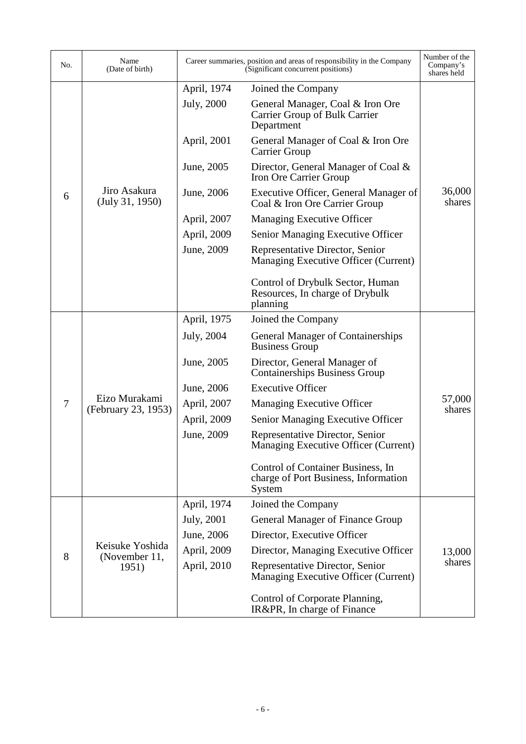| No.            | Name<br>(Date of birth)                   |             | Career summaries, position and areas of responsibility in the Company<br>(Significant concurrent positions) | Number of the<br>Company's<br>shares held |
|----------------|-------------------------------------------|-------------|-------------------------------------------------------------------------------------------------------------|-------------------------------------------|
|                |                                           | April, 1974 | Joined the Company                                                                                          |                                           |
|                |                                           | July, 2000  | General Manager, Coal & Iron Ore<br>Carrier Group of Bulk Carrier<br>Department                             |                                           |
|                |                                           | April, 2001 | General Manager of Coal & Iron Ore<br>Carrier Group                                                         |                                           |
|                |                                           | June, 2005  | Director, General Manager of Coal &<br>Iron Ore Carrier Group                                               |                                           |
| 6              | Jiro Asakura<br>(July 31, 1950)           | June, 2006  | Executive Officer, General Manager of<br>Coal & Iron Ore Carrier Group                                      | 36,000<br>shares                          |
|                |                                           | April, 2007 | <b>Managing Executive Officer</b>                                                                           |                                           |
|                |                                           | April, 2009 | Senior Managing Executive Officer                                                                           |                                           |
|                |                                           | June, 2009  | Representative Director, Senior<br>Managing Executive Officer (Current)                                     |                                           |
|                |                                           |             | Control of Drybulk Sector, Human<br>Resources, In charge of Drybulk<br>planning                             |                                           |
|                |                                           | April, 1975 | Joined the Company                                                                                          |                                           |
|                |                                           | July, 2004  | <b>General Manager of Containerships</b><br><b>Business Group</b>                                           |                                           |
|                |                                           | June, 2005  | Director, General Manager of<br><b>Containerships Business Group</b>                                        |                                           |
|                |                                           | June, 2006  | <b>Executive Officer</b>                                                                                    |                                           |
| $\overline{7}$ | Eizo Murakami<br>(February 23, 1953)      | April, 2007 | <b>Managing Executive Officer</b>                                                                           | 57,000<br>shares                          |
|                |                                           | April, 2009 | Senior Managing Executive Officer                                                                           |                                           |
|                |                                           | June, 2009  | Representative Director, Senior<br>Managing Executive Officer (Current)                                     |                                           |
|                |                                           |             | Control of Container Business, In<br>charge of Port Business, Information<br>System                         |                                           |
|                |                                           | April, 1974 | Joined the Company                                                                                          |                                           |
| 8              | Keisuke Yoshida<br>(November 11,<br>1951) | July, 2001  | General Manager of Finance Group                                                                            |                                           |
|                |                                           | June, 2006  | Director, Executive Officer                                                                                 |                                           |
|                |                                           | April, 2009 | Director, Managing Executive Officer                                                                        | 13,000                                    |
|                |                                           | April, 2010 | Representative Director, Senior<br>Managing Executive Officer (Current)                                     | shares                                    |
|                |                                           |             | Control of Corporate Planning,<br>IR&PR, In charge of Finance                                               |                                           |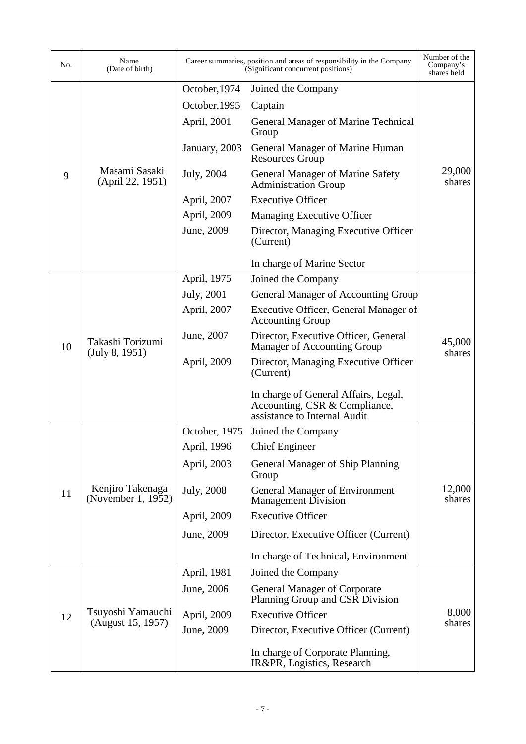| No. | Name<br>(Date of birth)                |                    | Career summaries, position and areas of responsibility in the Company<br>(Significant concurrent positions) | Number of the<br>Company's<br>shares held |
|-----|----------------------------------------|--------------------|-------------------------------------------------------------------------------------------------------------|-------------------------------------------|
|     |                                        | October, 1974      | Joined the Company                                                                                          |                                           |
|     |                                        | October, 1995      | Captain                                                                                                     |                                           |
|     | Masami Sasaki<br>(April 22, 1951)      | April, 2001        | <b>General Manager of Marine Technical</b><br>Group                                                         |                                           |
|     |                                        | January, 2003      | General Manager of Marine Human<br><b>Resources Group</b>                                                   |                                           |
| 9   |                                        | July, 2004         | <b>General Manager of Marine Safety</b><br><b>Administration Group</b>                                      | 29,000<br>shares                          |
|     |                                        | April, 2007        | <b>Executive Officer</b>                                                                                    |                                           |
|     |                                        | April, 2009        | <b>Managing Executive Officer</b>                                                                           |                                           |
|     |                                        | June, 2009         | Director, Managing Executive Officer<br>(Current)                                                           |                                           |
|     |                                        |                    | In charge of Marine Sector                                                                                  |                                           |
|     |                                        | April, 1975        | Joined the Company                                                                                          |                                           |
|     |                                        | <b>July</b> , 2001 | General Manager of Accounting Group                                                                         |                                           |
|     | Takashi Torizumi<br>(July 8, 1951)     | April, 2007        | Executive Officer, General Manager of<br><b>Accounting Group</b>                                            | 45,000<br>shares                          |
| 10  |                                        | June, 2007         | Director, Executive Officer, General<br><b>Manager of Accounting Group</b>                                  |                                           |
|     |                                        | April, 2009        | Director, Managing Executive Officer<br>(Current)                                                           |                                           |
|     |                                        |                    | In charge of General Affairs, Legal,<br>Accounting, CSR & Compliance,<br>assistance to Internal Audit       |                                           |
|     |                                        | October, 1975      | Joined the Company                                                                                          |                                           |
|     | Kenjiro Takenaga<br>(November 1, 1952) | April, 1996        | <b>Chief Engineer</b>                                                                                       |                                           |
|     |                                        | April, 2003        | General Manager of Ship Planning<br>Group                                                                   |                                           |
| 11  |                                        | July, 2008         | <b>General Manager of Environment</b><br><b>Management Division</b>                                         | 12,000<br>shares                          |
|     |                                        | April, 2009        | <b>Executive Officer</b>                                                                                    |                                           |
|     |                                        | June, 2009         | Director, Executive Officer (Current)                                                                       |                                           |
|     |                                        |                    | In charge of Technical, Environment                                                                         |                                           |
|     |                                        | April, 1981        | Joined the Company                                                                                          |                                           |
| 12  | Tsuyoshi Yamauchi<br>(August 15, 1957) | June, 2006         | <b>General Manager of Corporate</b><br>Planning Group and CSR Division                                      |                                           |
|     |                                        | April, 2009        | <b>Executive Officer</b>                                                                                    | 8,000                                     |
|     |                                        | June, 2009         | Director, Executive Officer (Current)                                                                       | shares                                    |
|     |                                        |                    | In charge of Corporate Planning,<br>IR&PR, Logistics, Research                                              |                                           |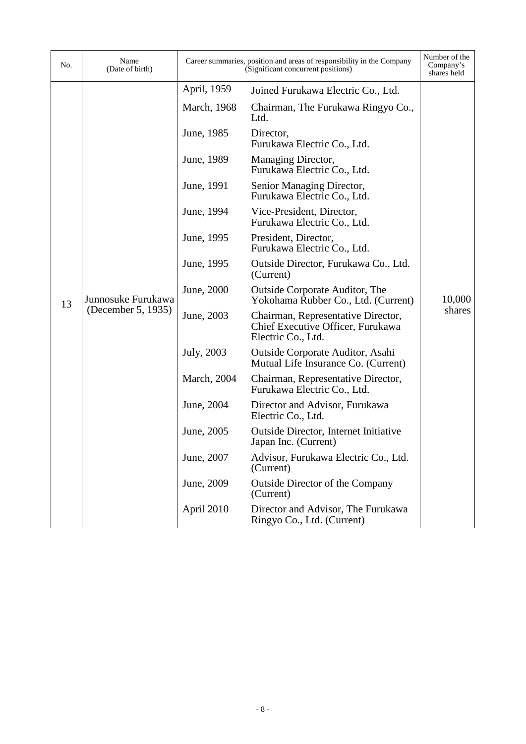| No. | Name<br>(Date of birth)                  |                     | Career summaries, position and areas of responsibility in the Company<br>(Significant concurrent positions) | Number of the<br>Company's<br>shares held |
|-----|------------------------------------------|---------------------|-------------------------------------------------------------------------------------------------------------|-------------------------------------------|
|     |                                          | April, 1959         | Joined Furukawa Electric Co., Ltd.                                                                          |                                           |
|     | Junnosuke Furukawa<br>(December 5, 1935) | March, 1968         | Chairman, The Furukawa Ringyo Co.,<br>Ltd.                                                                  |                                           |
|     |                                          | June, 1985          | Director,<br>Furukawa Electric Co., Ltd.                                                                    |                                           |
|     |                                          | June, 1989          | Managing Director,<br>Furukawa Electric Co., Ltd.                                                           |                                           |
|     |                                          | June, 1991          | Senior Managing Director,<br>Furukawa Electric Co., Ltd.                                                    |                                           |
|     |                                          | June, 1994          | Vice-President, Director,<br>Furukawa Electric Co., Ltd.                                                    |                                           |
|     |                                          | June, 1995          | President, Director,<br>Furukawa Electric Co., Ltd.                                                         | 10,000                                    |
|     |                                          | June, 1995          | Outside Director, Furukawa Co., Ltd.<br>(Current)                                                           |                                           |
| 13  |                                          | June, 2000          | <b>Outside Corporate Auditor, The</b><br>Yokohama Rubber Co., Ltd. (Current)                                |                                           |
|     |                                          | June, 2003          | Chairman, Representative Director,<br>Chief Executive Officer, Furukawa<br>Electric Co., Ltd.               | shares                                    |
|     |                                          | July, 2003          | Outside Corporate Auditor, Asahi<br>Mutual Life Insurance Co. (Current)                                     |                                           |
|     |                                          | <b>March</b> , 2004 | Chairman, Representative Director,<br>Furukawa Electric Co., Ltd.                                           |                                           |
|     |                                          | June, 2004          | Director and Advisor, Furukawa<br>Electric Co., Ltd.                                                        |                                           |
|     |                                          | June, 2005          | <b>Outside Director, Internet Initiative</b><br>Japan Inc. (Current)                                        |                                           |
|     |                                          | June, 2007          | Advisor, Furukawa Electric Co., Ltd.<br>(Current)                                                           |                                           |
|     |                                          | June, 2009          | <b>Outside Director of the Company</b><br>(Current)                                                         |                                           |
|     |                                          | April 2010          | Director and Advisor, The Furukawa<br>Ringyo Co., Ltd. (Current)                                            |                                           |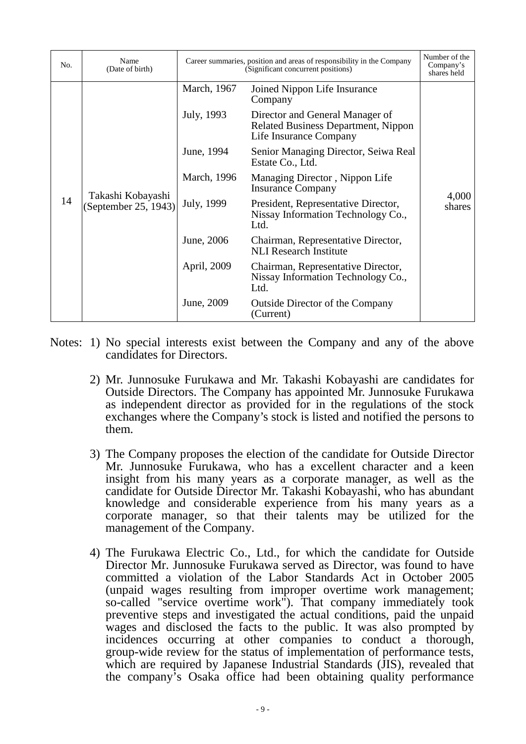| No. | Name<br>(Date of birth)                   | Career summaries, position and areas of responsibility in the Company<br>(Significant concurrent positions) |                                                                                                         | Number of the<br>Company's<br>shares held |
|-----|-------------------------------------------|-------------------------------------------------------------------------------------------------------------|---------------------------------------------------------------------------------------------------------|-------------------------------------------|
| 14  | Takashi Kobayashi<br>(September 25, 1943) | March, 1967                                                                                                 | Joined Nippon Life Insurance<br>Company                                                                 |                                           |
|     |                                           | July, 1993                                                                                                  | Director and General Manager of<br><b>Related Business Department, Nippon</b><br>Life Insurance Company |                                           |
|     |                                           | June, 1994                                                                                                  | Senior Managing Director, Seiwa Real<br>Estate Co., Ltd.                                                |                                           |
|     |                                           | March, 1996                                                                                                 | Managing Director, Nippon Life<br><b>Insurance Company</b>                                              | 4,000<br>shares                           |
|     |                                           | July, 1999                                                                                                  | President, Representative Director,<br>Nissay Information Technology Co.,<br>Ltd.                       |                                           |
|     |                                           | June, 2006                                                                                                  | Chairman, Representative Director,<br><b>NLI</b> Research Institute                                     |                                           |
|     |                                           | April, 2009                                                                                                 | Chairman, Representative Director,<br>Nissay Information Technology Co.,<br>Ltd.                        |                                           |
|     |                                           | June, 2009                                                                                                  | <b>Outside Director of the Company</b><br>(Current)                                                     |                                           |

- Notes: 1) No special interests exist between the Company and any of the above candidates for Directors.
	- 2) Mr. Junnosuke Furukawa and Mr. Takashi Kobayashi are candidates for Outside Directors. The Company has appointed Mr. Junnosuke Furukawa as independent director as provided for in the regulations of the stock exchanges where the Company's stock is listed and notified the persons to them.
	- 3) The Company proposes the election of the candidate for Outside Director Mr. Junnosuke Furukawa, who has a excellent character and a keen insight from his many years as a corporate manager, as well as the candidate for Outside Director Mr. Takashi Kobayashi, who has abundant knowledge and considerable experience from his many years as a corporate manager, so that their talents may be utilized for the management of the Company.
	- 4) The Furukawa Electric Co., Ltd., for which the candidate for Outside Director Mr. Junnosuke Furukawa served as Director, was found to have committed a violation of the Labor Standards Act in October 2005 (unpaid wages resulting from improper overtime work management; so-called "service overtime work"). That company immediately took preventive steps and investigated the actual conditions, paid the unpaid wages and disclosed the facts to the public. It was also prompted by incidences occurring at other companies to conduct a thorough, group-wide review for the status of implementation of performance tests, which are required by Japanese Industrial Standards (JIS), revealed that the company's Osaka office had been obtaining quality performance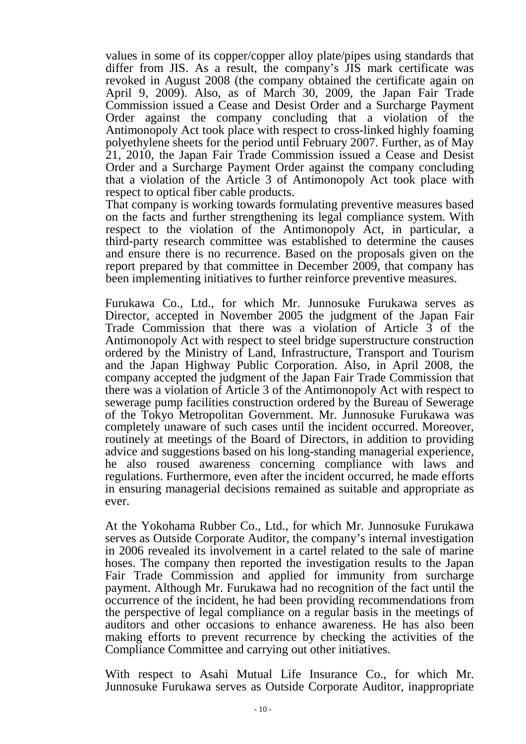values in some of its copper/copper alloy plate/pipes using standards that differ from JIS. As a result, the company's JIS mark certificate was revoked in August 2008 (the company obtained the certificate again on April 9, 2009). Also, as of March 30, 2009, the Japan Fair Trade Commission issued a Cease and Desist Order and a Surcharge Payment Order against the company concluding that a violation of the Antimonopoly Act took place with respect to cross-linked highly foaming polyethylene sheets for the period until February 2007. Further, as of May 21, 2010, the Japan Fair Trade Commission issued a Cease and Desist Order and a Surcharge Payment Order against the company concluding that a violation of the Article 3 of Antimonopoly Act took place with respect to optical fiber cable products.

That company is working towards formulating preventive measures based on the facts and further strengthening its legal compliance system. With respect to the violation of the Antimonopoly Act, in particular, a third-party research committee was established to determine the causes and ensure there is no recurrence. Based on the proposals given on the report prepared by that committee in December 2009, that company has been implementing initiatives to further reinforce preventive measures.

Furukawa Co., Ltd., for which Mr. Junnosuke Furukawa serves as Director, accepted in November 2005 the judgment of the Japan Fair Trade Commission that there was a violation of Article 3 of the Antimonopoly Act with respect to steel bridge superstructure construction ordered by the Ministry of Land, Infrastructure, Transport and Tourism and the Japan Highway Public Corporation. Also, in April 2008, the company accepted the judgment of the Japan Fair Trade Commission that there was a violation of Article 3 of the Antimonopoly Act with respect to sewerage pump facilities construction ordered by the Bureau of Sewerage of the Tokyo Metropolitan Government. Mr. Junnosuke Furukawa was completely unaware of such cases until the incident occurred. Moreover, routinely at meetings of the Board of Directors, in addition to providing advice and suggestions based on his long-standing managerial experience, he also roused awareness concerning compliance with laws and regulations. Furthermore, even after the incident occurred, he made efforts in ensuring managerial decisions remained as suitable and appropriate as ever.

At the Yokohama Rubber Co., Ltd., for which Mr. Junnosuke Furukawa serves as Outside Corporate Auditor, the company's internal investigation in 2006 revealed its involvement in a cartel related to the sale of marine hoses. The company then reported the investigation results to the Japan Fair Trade Commission and applied for immunity from surcharge payment. Although Mr. Furukawa had no recognition of the fact until the occurrence of the incident, he had been providing recommendations from the perspective of legal compliance on a regular basis in the meetings of auditors and other occasions to enhance awareness. He has also been making efforts to prevent recurrence by checking the activities of the Compliance Committee and carrying out other initiatives.

With respect to Asahi Mutual Life Insurance Co., for which Mr. Junnosuke Furukawa serves as Outside Corporate Auditor, inappropriate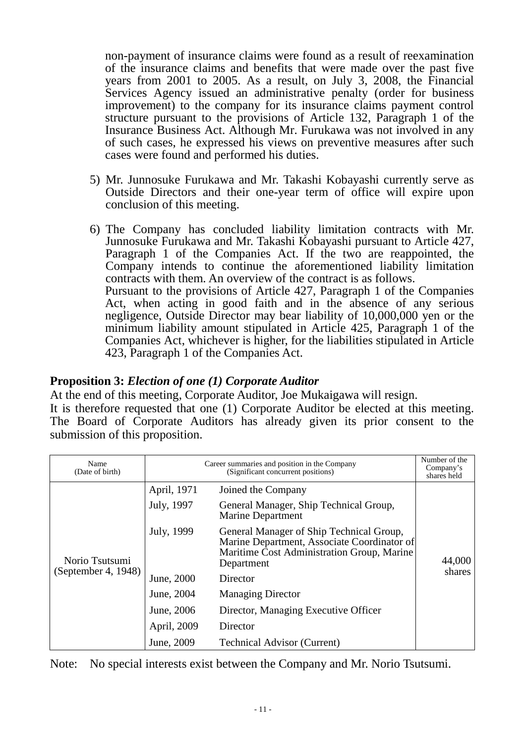non-payment of insurance claims were found as a result of reexamination of the insurance claims and benefits that were made over the past five years from 2001 to 2005. As a result, on July 3, 2008, the Financial Services Agency issued an administrative penalty (order for business improvement) to the company for its insurance claims payment control structure pursuant to the provisions of Article 132, Paragraph 1 of the Insurance Business Act. Although Mr. Furukawa was not involved in any of such cases, he expressed his views on preventive measures after such cases were found and performed his duties.

- 5) Mr. Junnosuke Furukawa and Mr. Takashi Kobayashi currently serve as Outside Directors and their one-year term of office will expire upon conclusion of this meeting.
- 6) The Company has concluded liability limitation contracts with Mr. Junnosuke Furukawa and Mr. Takashi Kobayashi pursuant to Article 427, Paragraph 1 of the Companies Act. If the two are reappointed, the Company intends to continue the aforementioned liability limitation contracts with them. An overview of the contract is as follows. Pursuant to the provisions of Article 427, Paragraph 1 of the Companies Act, when acting in good faith and in the absence of any serious negligence, Outside Director may bear liability of 10,000,000 yen or the minimum liability amount stipulated in Article 425, Paragraph 1 of the Companies Act, whichever is higher, for the liabilities stipulated in Article 423, Paragraph 1 of the Companies Act.

## **Proposition 3:** *Election of one (1) Corporate Auditor*

At the end of this meeting, Corporate Auditor, Joe Mukaigawa will resign.

It is therefore requested that one (1) Corporate Auditor be elected at this meeting. The Board of Corporate Auditors has already given its prior consent to the submission of this proposition.

| Name<br>(Date of birth)               |             | Number of the<br>Company's<br>shares held                                                                                                           |        |  |
|---------------------------------------|-------------|-----------------------------------------------------------------------------------------------------------------------------------------------------|--------|--|
| Norio Tsutsumi<br>(September 4, 1948) | April, 1971 | Joined the Company                                                                                                                                  |        |  |
|                                       | July, 1997  | General Manager, Ship Technical Group,<br><b>Marine Department</b>                                                                                  |        |  |
|                                       | July, 1999  | General Manager of Ship Technical Group,<br>Marine Department, Associate Coordinator of<br>Maritime Cost Administration Group, Marine<br>Department | 44,000 |  |
|                                       | June, 2000  | Director                                                                                                                                            | shares |  |
|                                       | June, 2004  | <b>Managing Director</b>                                                                                                                            |        |  |
|                                       | June, 2006  | Director, Managing Executive Officer                                                                                                                |        |  |
|                                       | April, 2009 | Director                                                                                                                                            |        |  |
|                                       | June, 2009  | <b>Technical Advisor (Current)</b>                                                                                                                  |        |  |

Note: No special interests exist between the Company and Mr. Norio Tsutsumi.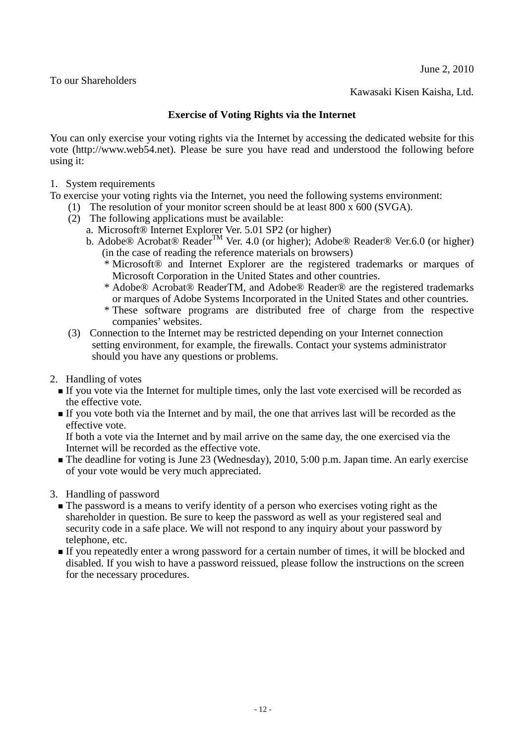June 2, 2010

To our Shareholders

Kawasaki Kisen Kaisha, Ltd.

#### **Exercise of Voting Rights via the Internet**

<span id="page-11-0"></span>You can only exercise your voting rights via the Internet by accessing the dedicated website for this vote (http://www.web54.net). Please be sure you have read and understood the following before using it:

1. System requirements

To exercise your voting rights via the Internet, you need the following systems environment:

- (1) The resolution of your monitor screen should be at least 800 x 600 (SVGA).
- (2) The following applications must be available:
	- a. Microsoft® Internet Explorer Ver. 5.01 SP2 (or higher)
	- b. Adobe® Acrobat® Reader<sup>™</sup> Ver. 4.0 (or higher); Adobe® Reader® Ver.6.0 (or higher) (in the case of reading the reference materials on browsers)
		- \* Microsoft® and Internet Explorer are the registered trademarks or marques of Microsoft Corporation in the United States and other countries.
		- \* Adobe® Acrobat® ReaderTM, and Adobe® Reader® are the registered trademarks or marques of Adobe Systems Incorporated in the United States and other countries.
		- \* These software programs are distributed free of charge from the respective companies' websites.
- (3) Connection to the Internet may be restricted depending on your Internet connection setting environment, for example, the firewalls. Contact your systems administrator should you have any questions or problems.
- 2. Handling of votes
	- If you vote via the Internet for multiple times, only the last vote exercised will be recorded as the effective vote.
	- If you vote both via the Internet and by mail, the one that arrives last will be recorded as the effective vote.

If both a vote via the Internet and by mail arrive on the same day, the one exercised via the Internet will be recorded as the effective vote.

The deadline for voting is June 23 (Wednesday), 2010, 5:00 p.m. Japan time. An early exercise of your vote would be very much appreciated.

3. Handling of password

- The password is a means to verify identity of a person who exercises voting right as the shareholder in question. Be sure to keep the password as well as your registered seal and security code in a safe place. We will not respond to any inquiry about your password by telephone, etc.
- If you repeatedly enter a wrong password for a certain number of times, it will be blocked and disabled. If you wish to have a password reissued, please follow the instructions on the screen for the necessary procedures.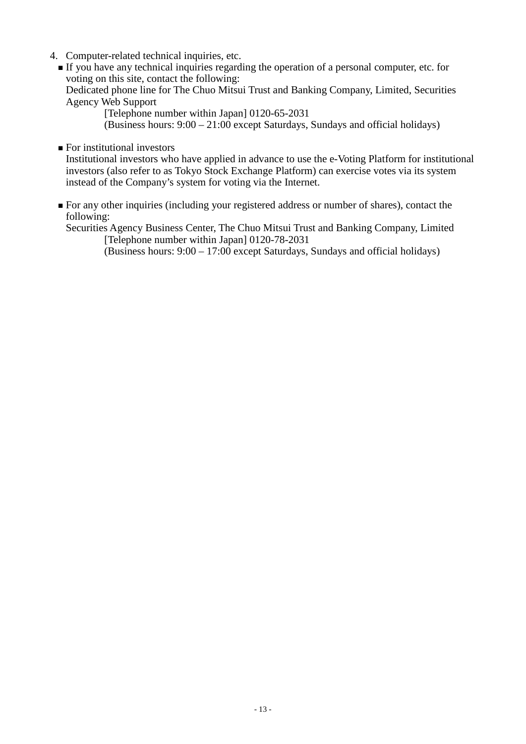- 4. Computer-related technical inquiries, etc.
	- If you have any technical inquiries regarding the operation of a personal computer, etc. for voting on this site, contact the following:

Dedicated phone line for The Chuo Mitsui Trust and Banking Company, Limited, Securities Agency Web Support

[Telephone number within Japan] 0120-65-2031

(Business hours: 9:00 – 21:00 except Saturdays, Sundays and official holidays)

**For institutional investors** 

Institutional investors who have applied in advance to use the e-Voting Platform for institutional investors (also refer to as Tokyo Stock Exchange Platform) can exercise votes via its system instead of the Company's system for voting via the Internet.

 For any other inquiries (including your registered address or number of shares), contact the following:

Securities Agency Business Center, The Chuo Mitsui Trust and Banking Company, Limited [Telephone number within Japan] 0120-78-2031

(Business hours: 9:00 – 17:00 except Saturdays, Sundays and official holidays)